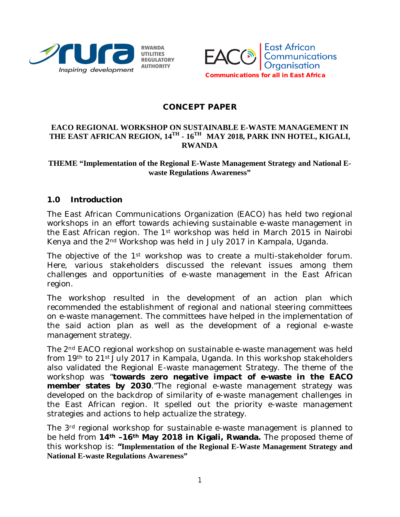



#### **CONCEPT PAPER**

#### **EACO REGIONAL WORKSHOP ON SUSTAINABLE E-WASTE MANAGEMENT IN THE EAST AFRICAN REGION, 14TH - 16TH MAY 2018, PARK INN HOTEL, KIGALI, RWANDA**

#### **THEME "Implementation of the Regional E-Waste Management Strategy and National Ewaste Regulations Awareness"**

#### **1.0 Introduction**

The East African Communications Organization (EACO) has held two regional workshops in an effort towards achieving sustainable e-waste management in the East African region. The 1<sup>st</sup> workshop was held in March 2015 in Nairobi Kenya and the 2nd Workshop was held in July 2017 in Kampala, Uganda.

The objective of the 1<sup>st</sup> workshop was to create a multi-stakeholder forum. Here, various stakeholders discussed the relevant issues among them challenges and opportunities of e-waste management in the East African region.

The workshop resulted in the development of an action plan which recommended the establishment of regional and national steering committees on e-waste management. The committees have helped in the implementation of the said action plan as well as the development of a regional e-waste management strategy.

The 2nd EACO regional workshop on sustainable e-waste management was held from 19th to 21st July 2017 in Kampala, Uganda. In this workshop stakeholders also validated the Regional E-waste management Strategy. The theme of the workshop was "**towards zero negative impact of e-waste in the EACO member states by 2030**."The regional e-waste management strategy was developed on the backdrop of similarity of e-waste management challenges in the East African region. It spelled out the priority e-waste management strategies and actions to help actualize the strategy.

The 3rd regional workshop for sustainable e-waste management is planned to be held from **14th –16th May 2018 in Kigali, Rwanda.** The proposed theme of this workshop is: **"Implementation of the Regional E-Waste Management Strategy and National E-waste Regulations Awareness"**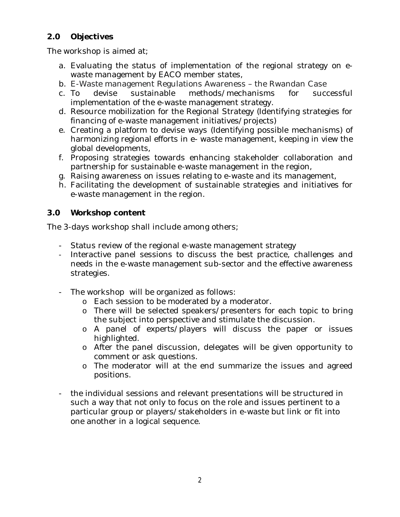## **2.0 Objectives**

The workshop is aimed at;

- a. Evaluating the status of implementation of the regional strategy on ewaste management by EACO member states,
- b. E-Waste management Regulations Awareness the Rwandan Case
- c. To devise sustainable methods/mechanisms for successful implementation of the e-waste management strategy.
- d. Resource mobilization for the Regional Strategy (Identifying strategies for financing of e-waste management initiatives/projects)
- e. Creating a platform to devise ways (Identifying possible mechanisms) of harmonizing regional efforts in e- waste management, keeping in view the global developments,
- f. Proposing strategies towards enhancing stakeholder collaboration and partnership for sustainable e-waste management in the region,
- g. Raising awareness on issues relating to e-waste and its management,
- h. Facilitating the development of sustainable strategies and initiatives for e-waste management in the region.

## **3.0 Workshop content**

The 3-days workshop shall include among others;

- Status review of the regional e-waste management strategy
- Interactive panel sessions to discuss the best practice, challenges and needs in the e-waste management sub-sector and the effective awareness strategies.
- The workshop will be organized as follows:
	- o Each session to be moderated by a moderator.
	- o There will be selected speakers/presenters for each topic to bring the subject into perspective and stimulate the discussion.
	- o A panel of experts/players will discuss the paper or issues highlighted.
	- o After the panel discussion, delegates will be given opportunity to comment or ask questions.
	- o The moderator will at the end summarize the issues and agreed positions.
- the individual sessions and relevant presentations will be structured in such a way that not only to focus on the role and issues pertinent to a particular group or players/stakeholders in e-waste but link or fit into one another in a logical sequence.